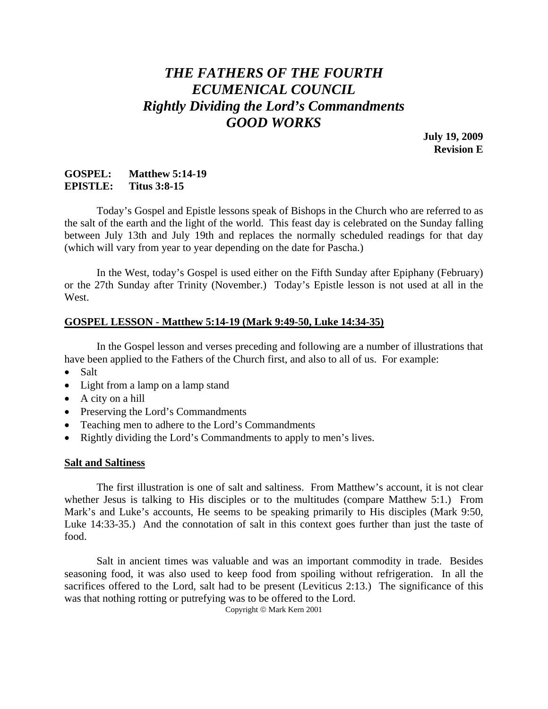# *THE FATHERS OF THE FOURTH ECUMENICAL COUNCIL Rightly Dividing the Lord's Commandments GOOD WORKS*

**July 19, 2009 Revision E** 

### **GOSPEL: Matthew 5:14-19 EPISTLE: Titus 3:8-15**

 Today's Gospel and Epistle lessons speak of Bishops in the Church who are referred to as the salt of the earth and the light of the world. This feast day is celebrated on the Sunday falling between July 13th and July 19th and replaces the normally scheduled readings for that day (which will vary from year to year depending on the date for Pascha.)

 In the West, today's Gospel is used either on the Fifth Sunday after Epiphany (February) or the 27th Sunday after Trinity (November.) Today's Epistle lesson is not used at all in the West.

### **GOSPEL LESSON - Matthew 5:14-19 (Mark 9:49-50, Luke 14:34-35)**

 In the Gospel lesson and verses preceding and following are a number of illustrations that have been applied to the Fathers of the Church first, and also to all of us. For example:

- Salt
- Light from a lamp on a lamp stand
- A city on a hill
- Preserving the Lord's Commandments
- Teaching men to adhere to the Lord's Commandments
- Rightly dividing the Lord's Commandments to apply to men's lives.

### **Salt and Saltiness**

 The first illustration is one of salt and saltiness. From Matthew's account, it is not clear whether Jesus is talking to His disciples or to the multitudes (compare Matthew 5:1.) From Mark's and Luke's accounts, He seems to be speaking primarily to His disciples (Mark 9:50, Luke 14:33-35.) And the connotation of salt in this context goes further than just the taste of food.

 Salt in ancient times was valuable and was an important commodity in trade. Besides seasoning food, it was also used to keep food from spoiling without refrigeration. In all the sacrifices offered to the Lord, salt had to be present (Leviticus 2:13.) The significance of this was that nothing rotting or putrefying was to be offered to the Lord.

Copyright © Mark Kern 2001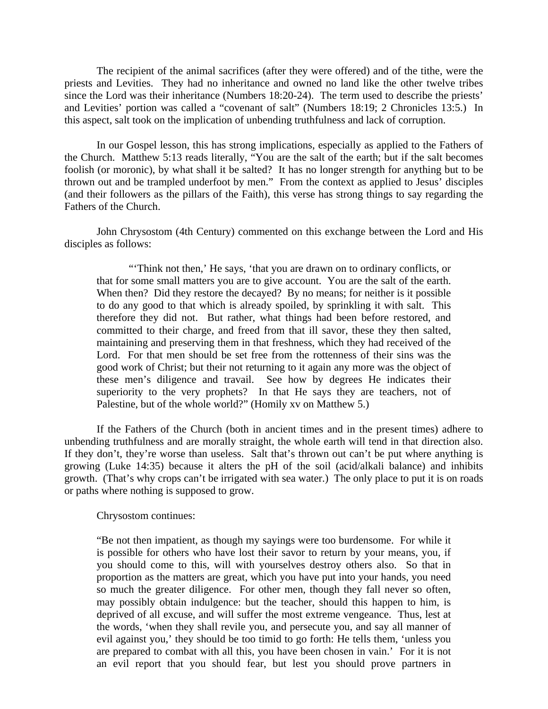The recipient of the animal sacrifices (after they were offered) and of the tithe, were the priests and Levities. They had no inheritance and owned no land like the other twelve tribes since the Lord was their inheritance (Numbers 18:20-24). The term used to describe the priests' and Levities' portion was called a "covenant of salt" (Numbers 18:19; 2 Chronicles 13:5.) In this aspect, salt took on the implication of unbending truthfulness and lack of corruption.

 In our Gospel lesson, this has strong implications, especially as applied to the Fathers of the Church. Matthew 5:13 reads literally, "You are the salt of the earth; but if the salt becomes foolish (or moronic), by what shall it be salted? It has no longer strength for anything but to be thrown out and be trampled underfoot by men." From the context as applied to Jesus' disciples (and their followers as the pillars of the Faith), this verse has strong things to say regarding the Fathers of the Church.

 John Chrysostom (4th Century) commented on this exchange between the Lord and His disciples as follows:

 "'Think not then,' He says, 'that you are drawn on to ordinary conflicts, or that for some small matters you are to give account. You are the salt of the earth. When then? Did they restore the decayed? By no means; for neither is it possible to do any good to that which is already spoiled, by sprinkling it with salt. This therefore they did not. But rather, what things had been before restored, and committed to their charge, and freed from that ill savor, these they then salted, maintaining and preserving them in that freshness, which they had received of the Lord. For that men should be set free from the rottenness of their sins was the good work of Christ; but their not returning to it again any more was the object of these men's diligence and travail. See how by degrees He indicates their superiority to the very prophets? In that He says they are teachers, not of Palestine, but of the whole world?" (Homily xv on Matthew 5.)

 If the Fathers of the Church (both in ancient times and in the present times) adhere to unbending truthfulness and are morally straight, the whole earth will tend in that direction also. If they don't, they're worse than useless. Salt that's thrown out can't be put where anything is growing (Luke 14:35) because it alters the pH of the soil (acid/alkali balance) and inhibits growth. (That's why crops can't be irrigated with sea water.) The only place to put it is on roads or paths where nothing is supposed to grow.

Chrysostom continues:

"Be not then impatient, as though my sayings were too burdensome. For while it is possible for others who have lost their savor to return by your means, you, if you should come to this, will with yourselves destroy others also. So that in proportion as the matters are great, which you have put into your hands, you need so much the greater diligence. For other men, though they fall never so often, may possibly obtain indulgence: but the teacher, should this happen to him, is deprived of all excuse, and will suffer the most extreme vengeance. Thus, lest at the words, 'when they shall revile you, and persecute you, and say all manner of evil against you,' they should be too timid to go forth: He tells them, 'unless you are prepared to combat with all this, you have been chosen in vain.' For it is not an evil report that you should fear, but lest you should prove partners in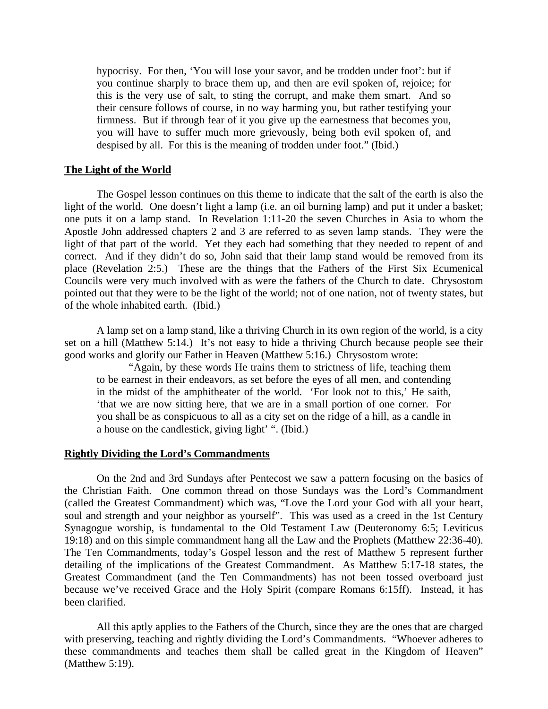hypocrisy. For then, 'You will lose your savor, and be trodden under foot': but if you continue sharply to brace them up, and then are evil spoken of, rejoice; for this is the very use of salt, to sting the corrupt, and make them smart. And so their censure follows of course, in no way harming you, but rather testifying your firmness. But if through fear of it you give up the earnestness that becomes you, you will have to suffer much more grievously, being both evil spoken of, and despised by all. For this is the meaning of trodden under foot." (Ibid.)

#### **The Light of the World**

 The Gospel lesson continues on this theme to indicate that the salt of the earth is also the light of the world. One doesn't light a lamp (i.e. an oil burning lamp) and put it under a basket; one puts it on a lamp stand. In Revelation 1:11-20 the seven Churches in Asia to whom the Apostle John addressed chapters 2 and 3 are referred to as seven lamp stands. They were the light of that part of the world. Yet they each had something that they needed to repent of and correct. And if they didn't do so, John said that their lamp stand would be removed from its place (Revelation 2:5.) These are the things that the Fathers of the First Six Ecumenical Councils were very much involved with as were the fathers of the Church to date. Chrysostom pointed out that they were to be the light of the world; not of one nation, not of twenty states, but of the whole inhabited earth. (Ibid.)

 A lamp set on a lamp stand, like a thriving Church in its own region of the world, is a city set on a hill (Matthew 5:14.) It's not easy to hide a thriving Church because people see their good works and glorify our Father in Heaven (Matthew 5:16.) Chrysostom wrote:

 "Again, by these words He trains them to strictness of life, teaching them to be earnest in their endeavors, as set before the eyes of all men, and contending in the midst of the amphitheater of the world. 'For look not to this,' He saith, 'that we are now sitting here, that we are in a small portion of one corner. For you shall be as conspicuous to all as a city set on the ridge of a hill, as a candle in a house on the candlestick, giving light' ". (Ibid.)

#### **Rightly Dividing the Lord's Commandments**

 On the 2nd and 3rd Sundays after Pentecost we saw a pattern focusing on the basics of the Christian Faith. One common thread on those Sundays was the Lord's Commandment (called the Greatest Commandment) which was, "Love the Lord your God with all your heart, soul and strength and your neighbor as yourself". This was used as a creed in the 1st Century Synagogue worship, is fundamental to the Old Testament Law (Deuteronomy 6:5; Leviticus 19:18) and on this simple commandment hang all the Law and the Prophets (Matthew 22:36-40). The Ten Commandments, today's Gospel lesson and the rest of Matthew 5 represent further detailing of the implications of the Greatest Commandment. As Matthew 5:17-18 states, the Greatest Commandment (and the Ten Commandments) has not been tossed overboard just because we've received Grace and the Holy Spirit (compare Romans 6:15ff). Instead, it has been clarified.

 All this aptly applies to the Fathers of the Church, since they are the ones that are charged with preserving, teaching and rightly dividing the Lord's Commandments. "Whoever adheres to these commandments and teaches them shall be called great in the Kingdom of Heaven" (Matthew 5:19).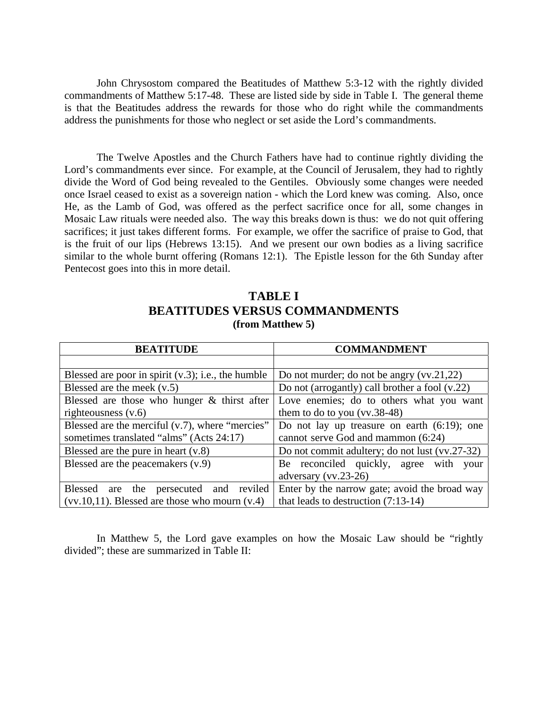John Chrysostom compared the Beatitudes of Matthew 5:3-12 with the rightly divided commandments of Matthew 5:17-48. These are listed side by side in Table I. The general theme is that the Beatitudes address the rewards for those who do right while the commandments address the punishments for those who neglect or set aside the Lord's commandments.

The Twelve Apostles and the Church Fathers have had to continue rightly dividing the Lord's commandments ever since. For example, at the Council of Jerusalem, they had to rightly divide the Word of God being revealed to the Gentiles. Obviously some changes were needed once Israel ceased to exist as a sovereign nation - which the Lord knew was coming. Also, once He, as the Lamb of God, was offered as the perfect sacrifice once for all, some changes in Mosaic Law rituals were needed also. The way this breaks down is thus: we do not quit offering sacrifices; it just takes different forms. For example, we offer the sacrifice of praise to God, that is the fruit of our lips (Hebrews 13:15). And we present our own bodies as a living sacrifice similar to the whole burnt offering (Romans 12:1). The Epistle lesson for the 6th Sunday after Pentecost goes into this in more detail.

### **TABLE I BEATITUDES VERSUS COMMANDMENTS (from Matthew 5)**

| <b>BEATITUDE</b>                                      | <b>COMMANDMENT</b>                             |
|-------------------------------------------------------|------------------------------------------------|
|                                                       |                                                |
| Blessed are poor in spirit $(v.3)$ ; i.e., the humble | Do not murder; do not be angry $(vv.21,22)$    |
| Blessed are the meek $(v.5)$                          | Do not (arrogantly) call brother a fool (v.22) |
| Blessed are those who hunger $\&$ thirst after        | Love enemies; do to others what you want       |
| righteousness $(v.6)$                                 | them to do to you $(vv.38-48)$                 |
| Blessed are the merciful $(v.7)$ , where "mercies"    | Do not lay up treasure on earth $(6.19)$ ; one |
| sometimes translated "alms" (Acts 24:17)              | cannot serve God and mammon (6:24)             |
| Blessed are the pure in heart $(v.8)$                 | Do not commit adultery; do not lust (vv.27-32) |
| Blessed are the peacemakers (v.9)                     | Be reconciled quickly, agree with<br>vour      |
|                                                       | adversary $(vv.23-26)$                         |
| the persecuted and reviled<br>Blessed are             | Enter by the narrow gate; avoid the broad way  |
| $(vv.10,11)$ . Blessed are those who mourn $(v.4)$    | that leads to destruction $(7:13-14)$          |

 In Matthew 5, the Lord gave examples on how the Mosaic Law should be "rightly divided"; these are summarized in Table II: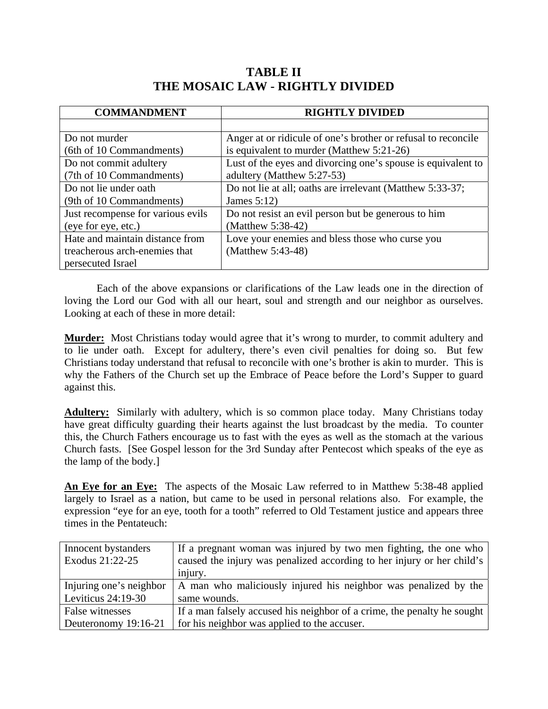## **TABLE II THE MOSAIC LAW - RIGHTLY DIVIDED**

| <b>COMMANDMENT</b>                | <b>RIGHTLY DIVIDED</b>                                        |
|-----------------------------------|---------------------------------------------------------------|
|                                   |                                                               |
| Do not murder                     | Anger at or ridicule of one's brother or refusal to reconcile |
| (6th of 10 Commandments)          | is equivalent to murder (Matthew 5:21-26)                     |
| Do not commit adultery            | Lust of the eyes and divorcing one's spouse is equivalent to  |
| (7th of 10 Commandments)          | adultery (Matthew 5:27-53)                                    |
| Do not lie under oath             | Do not lie at all; oaths are irrelevant (Matthew 5:33-37;     |
| (9th of 10 Commandments)          | James $5:12$                                                  |
| Just recompense for various evils | Do not resist an evil person but be generous to him           |
| (eye for eye, etc.)               | (Matthew 5:38-42)                                             |
| Hate and maintain distance from   | Love your enemies and bless those who curse you               |
| treacherous arch-enemies that     | (Matthew 5:43-48)                                             |
| persecuted Israel                 |                                                               |

 Each of the above expansions or clarifications of the Law leads one in the direction of loving the Lord our God with all our heart, soul and strength and our neighbor as ourselves. Looking at each of these in more detail:

**Murder:** Most Christians today would agree that it's wrong to murder, to commit adultery and to lie under oath. Except for adultery, there's even civil penalties for doing so. But few Christians today understand that refusal to reconcile with one's brother is akin to murder. This is why the Fathers of the Church set up the Embrace of Peace before the Lord's Supper to guard against this.

**Adultery:** Similarly with adultery, which is so common place today. Many Christians today have great difficulty guarding their hearts against the lust broadcast by the media. To counter this, the Church Fathers encourage us to fast with the eyes as well as the stomach at the various Church fasts. [See Gospel lesson for the 3rd Sunday after Pentecost which speaks of the eye as the lamp of the body.]

**An Eye for an Eye:** The aspects of the Mosaic Law referred to in Matthew 5:38-48 applied largely to Israel as a nation, but came to be used in personal relations also. For example, the expression "eye for an eye, tooth for a tooth" referred to Old Testament justice and appears three times in the Pentateuch:

| Innocent bystanders     | If a pregnant woman was injured by two men fighting, the one who        |
|-------------------------|-------------------------------------------------------------------------|
| Exodus 21:22-25         | caused the injury was penalized according to her injury or her child's  |
|                         | injury.                                                                 |
| Injuring one's neighbor | A man who maliciously injured his neighbor was penalized by the         |
| Leviticus $24:19-30$    | same wounds.                                                            |
| False witnesses         | If a man falsely accused his neighbor of a crime, the penalty he sought |
| Deuteronomy 19:16-21    | for his neighbor was applied to the accuser.                            |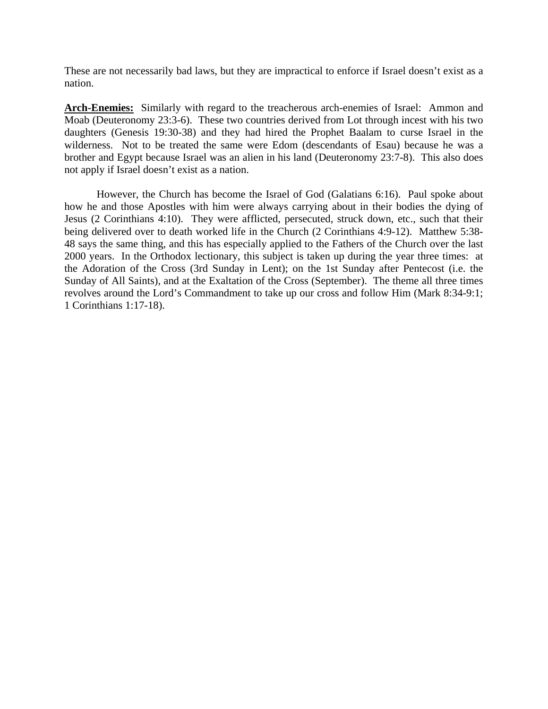These are not necessarily bad laws, but they are impractical to enforce if Israel doesn't exist as a nation.

**Arch-Enemies:** Similarly with regard to the treacherous arch-enemies of Israel: Ammon and Moab (Deuteronomy 23:3-6). These two countries derived from Lot through incest with his two daughters (Genesis 19:30-38) and they had hired the Prophet Baalam to curse Israel in the wilderness. Not to be treated the same were Edom (descendants of Esau) because he was a brother and Egypt because Israel was an alien in his land (Deuteronomy 23:7-8). This also does not apply if Israel doesn't exist as a nation.

 However, the Church has become the Israel of God (Galatians 6:16). Paul spoke about how he and those Apostles with him were always carrying about in their bodies the dying of Jesus (2 Corinthians 4:10). They were afflicted, persecuted, struck down, etc., such that their being delivered over to death worked life in the Church (2 Corinthians 4:9-12). Matthew 5:38- 48 says the same thing, and this has especially applied to the Fathers of the Church over the last 2000 years. In the Orthodox lectionary, this subject is taken up during the year three times: at the Adoration of the Cross (3rd Sunday in Lent); on the 1st Sunday after Pentecost (i.e. the Sunday of All Saints), and at the Exaltation of the Cross (September). The theme all three times revolves around the Lord's Commandment to take up our cross and follow Him (Mark 8:34-9:1; 1 Corinthians 1:17-18).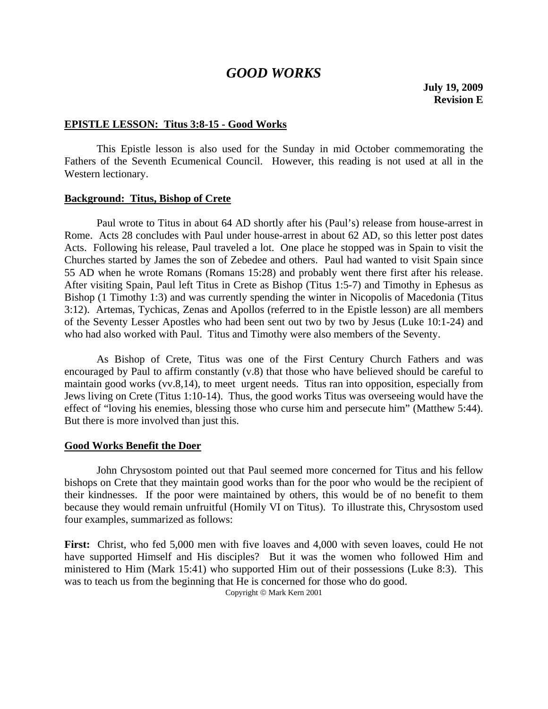# *GOOD WORKS*

### **EPISTLE LESSON: Titus 3:8-15 - Good Works**

 This Epistle lesson is also used for the Sunday in mid October commemorating the Fathers of the Seventh Ecumenical Council. However, this reading is not used at all in the Western lectionary.

#### **Background: Titus, Bishop of Crete**

 Paul wrote to Titus in about 64 AD shortly after his (Paul's) release from house-arrest in Rome. Acts 28 concludes with Paul under house-arrest in about 62 AD, so this letter post dates Acts. Following his release, Paul traveled a lot. One place he stopped was in Spain to visit the Churches started by James the son of Zebedee and others. Paul had wanted to visit Spain since 55 AD when he wrote Romans (Romans 15:28) and probably went there first after his release. After visiting Spain, Paul left Titus in Crete as Bishop (Titus 1:5-7) and Timothy in Ephesus as Bishop (1 Timothy 1:3) and was currently spending the winter in Nicopolis of Macedonia (Titus 3:12). Artemas, Tychicas, Zenas and Apollos (referred to in the Epistle lesson) are all members of the Seventy Lesser Apostles who had been sent out two by two by Jesus (Luke 10:1-24) and who had also worked with Paul. Titus and Timothy were also members of the Seventy.

 As Bishop of Crete, Titus was one of the First Century Church Fathers and was encouraged by Paul to affirm constantly (v.8) that those who have believed should be careful to maintain good works (vv.8,14), to meet urgent needs. Titus ran into opposition, especially from Jews living on Crete (Titus 1:10-14). Thus, the good works Titus was overseeing would have the effect of "loving his enemies, blessing those who curse him and persecute him" (Matthew 5:44). But there is more involved than just this.

### **Good Works Benefit the Doer**

 John Chrysostom pointed out that Paul seemed more concerned for Titus and his fellow bishops on Crete that they maintain good works than for the poor who would be the recipient of their kindnesses. If the poor were maintained by others, this would be of no benefit to them because they would remain unfruitful (Homily VI on Titus). To illustrate this, Chrysostom used four examples, summarized as follows:

**First:** Christ, who fed 5,000 men with five loaves and 4,000 with seven loaves, could He not have supported Himself and His disciples? But it was the women who followed Him and ministered to Him (Mark 15:41) who supported Him out of their possessions (Luke 8:3). This was to teach us from the beginning that He is concerned for those who do good.

Copyright © Mark Kern 2001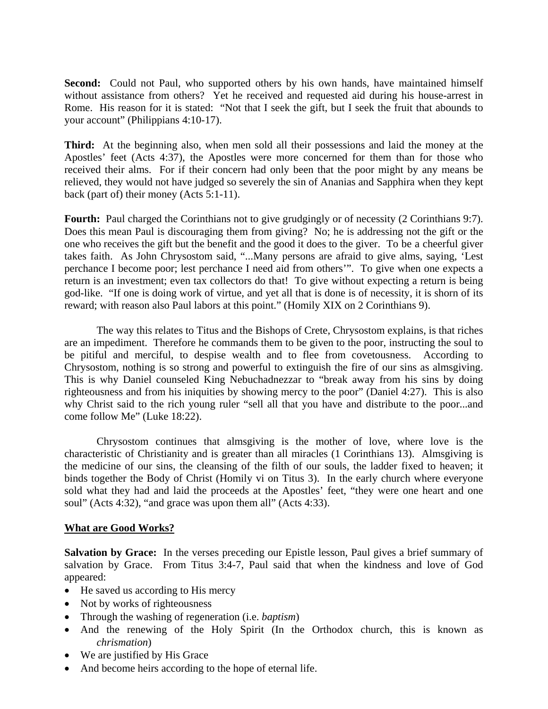**Second:** Could not Paul, who supported others by his own hands, have maintained himself without assistance from others? Yet he received and requested aid during his house-arrest in Rome. His reason for it is stated: "Not that I seek the gift, but I seek the fruit that abounds to your account" (Philippians 4:10-17).

**Third:** At the beginning also, when men sold all their possessions and laid the money at the Apostles' feet (Acts 4:37), the Apostles were more concerned for them than for those who received their alms. For if their concern had only been that the poor might by any means be relieved, they would not have judged so severely the sin of Ananias and Sapphira when they kept back (part of) their money (Acts 5:1-11).

**Fourth:** Paul charged the Corinthians not to give grudgingly or of necessity (2 Corinthians 9:7). Does this mean Paul is discouraging them from giving? No; he is addressing not the gift or the one who receives the gift but the benefit and the good it does to the giver. To be a cheerful giver takes faith. As John Chrysostom said, "...Many persons are afraid to give alms, saying, 'Lest perchance I become poor; lest perchance I need aid from others'". To give when one expects a return is an investment; even tax collectors do that! To give without expecting a return is being god-like. "If one is doing work of virtue, and yet all that is done is of necessity, it is shorn of its reward; with reason also Paul labors at this point." (Homily XIX on 2 Corinthians 9).

 The way this relates to Titus and the Bishops of Crete, Chrysostom explains, is that riches are an impediment. Therefore he commands them to be given to the poor, instructing the soul to be pitiful and merciful, to despise wealth and to flee from covetousness. According to Chrysostom, nothing is so strong and powerful to extinguish the fire of our sins as almsgiving. This is why Daniel counseled King Nebuchadnezzar to "break away from his sins by doing righteousness and from his iniquities by showing mercy to the poor" (Daniel 4:27). This is also why Christ said to the rich young ruler "sell all that you have and distribute to the poor...and come follow Me" (Luke 18:22).

 Chrysostom continues that almsgiving is the mother of love, where love is the characteristic of Christianity and is greater than all miracles (1 Corinthians 13). Almsgiving is the medicine of our sins, the cleansing of the filth of our souls, the ladder fixed to heaven; it binds together the Body of Christ (Homily vi on Titus 3). In the early church where everyone sold what they had and laid the proceeds at the Apostles' feet, "they were one heart and one soul" (Acts 4:32), "and grace was upon them all" (Acts 4:33).

### **What are Good Works?**

**Salvation by Grace:** In the verses preceding our Epistle lesson, Paul gives a brief summary of salvation by Grace. From Titus 3:4-7, Paul said that when the kindness and love of God appeared:

- He saved us according to His mercy
- Not by works of righteousness
- Through the washing of regeneration (i.e. *baptism*)
- And the renewing of the Holy Spirit (In the Orthodox church, this is known as *chrismation*)
- We are justified by His Grace
- And become heirs according to the hope of eternal life.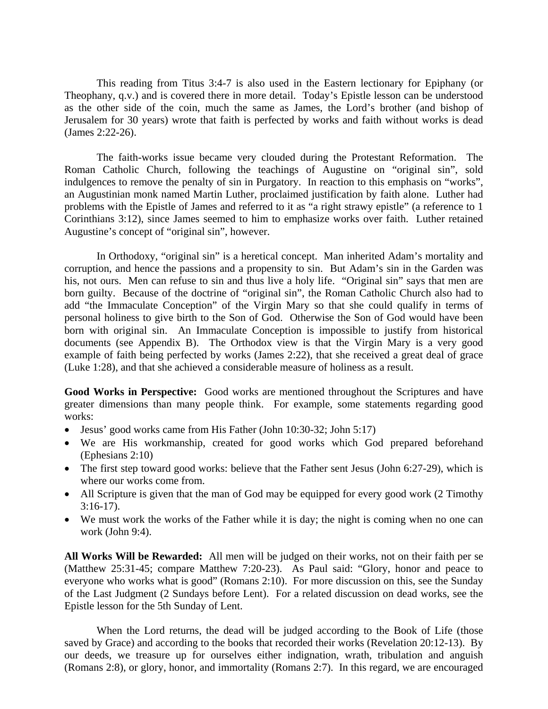This reading from Titus 3:4-7 is also used in the Eastern lectionary for Epiphany (or Theophany, q.v.) and is covered there in more detail. Today's Epistle lesson can be understood as the other side of the coin, much the same as James, the Lord's brother (and bishop of Jerusalem for 30 years) wrote that faith is perfected by works and faith without works is dead (James 2:22-26).

 The faith-works issue became very clouded during the Protestant Reformation. The Roman Catholic Church, following the teachings of Augustine on "original sin", sold indulgences to remove the penalty of sin in Purgatory. In reaction to this emphasis on "works", an Augustinian monk named Martin Luther, proclaimed justification by faith alone. Luther had problems with the Epistle of James and referred to it as "a right strawy epistle" (a reference to 1 Corinthians 3:12), since James seemed to him to emphasize works over faith. Luther retained Augustine's concept of "original sin", however.

 In Orthodoxy, "original sin" is a heretical concept. Man inherited Adam's mortality and corruption, and hence the passions and a propensity to sin. But Adam's sin in the Garden was his, not ours. Men can refuse to sin and thus live a holy life. "Original sin" says that men are born guilty. Because of the doctrine of "original sin", the Roman Catholic Church also had to add "the Immaculate Conception" of the Virgin Mary so that she could qualify in terms of personal holiness to give birth to the Son of God. Otherwise the Son of God would have been born with original sin. An Immaculate Conception is impossible to justify from historical documents (see Appendix B). The Orthodox view is that the Virgin Mary is a very good example of faith being perfected by works (James 2:22), that she received a great deal of grace (Luke 1:28), and that she achieved a considerable measure of holiness as a result.

**Good Works in Perspective:** Good works are mentioned throughout the Scriptures and have greater dimensions than many people think. For example, some statements regarding good works:

- Jesus' good works came from His Father (John 10:30-32; John 5:17)
- We are His workmanship, created for good works which God prepared beforehand (Ephesians 2:10)
- The first step toward good works: believe that the Father sent Jesus (John 6:27-29), which is where our works come from.
- All Scripture is given that the man of God may be equipped for every good work (2 Timothy  $3:16-17$ ).
- We must work the works of the Father while it is day; the night is coming when no one can work (John 9:4).

**All Works Will be Rewarded:** All men will be judged on their works, not on their faith per se (Matthew 25:31-45; compare Matthew 7:20-23). As Paul said: "Glory, honor and peace to everyone who works what is good" (Romans 2:10). For more discussion on this, see the Sunday of the Last Judgment (2 Sundays before Lent). For a related discussion on dead works, see the Epistle lesson for the 5th Sunday of Lent.

When the Lord returns, the dead will be judged according to the Book of Life (those saved by Grace) and according to the books that recorded their works (Revelation 20:12-13). By our deeds, we treasure up for ourselves either indignation, wrath, tribulation and anguish (Romans 2:8), or glory, honor, and immortality (Romans 2:7). In this regard, we are encouraged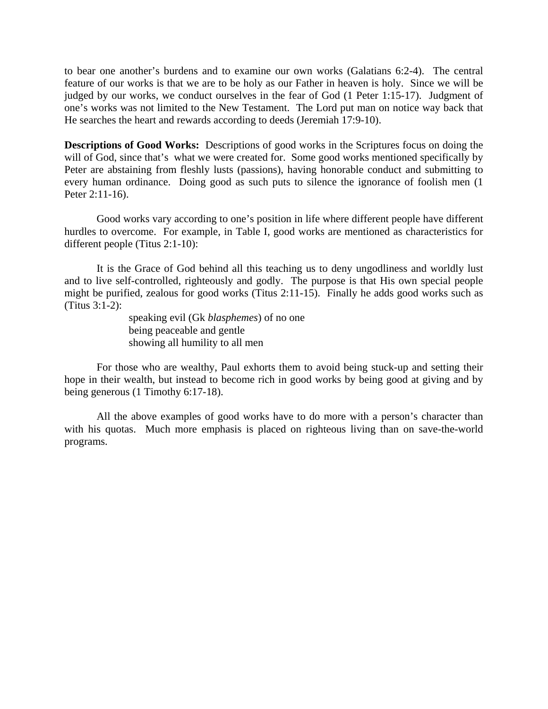to bear one another's burdens and to examine our own works (Galatians 6:2-4). The central feature of our works is that we are to be holy as our Father in heaven is holy. Since we will be judged by our works, we conduct ourselves in the fear of God (1 Peter 1:15-17). Judgment of one's works was not limited to the New Testament. The Lord put man on notice way back that He searches the heart and rewards according to deeds (Jeremiah 17:9-10).

**Descriptions of Good Works:** Descriptions of good works in the Scriptures focus on doing the will of God, since that's what we were created for. Some good works mentioned specifically by Peter are abstaining from fleshly lusts (passions), having honorable conduct and submitting to every human ordinance. Doing good as such puts to silence the ignorance of foolish men (1 Peter 2:11-16).

 Good works vary according to one's position in life where different people have different hurdles to overcome. For example, in Table I, good works are mentioned as characteristics for different people (Titus 2:1-10):

It is the Grace of God behind all this teaching us to deny ungodliness and worldly lust and to live self-controlled, righteously and godly. The purpose is that His own special people might be purified, zealous for good works (Titus 2:11-15). Finally he adds good works such as (Titus 3:1-2):

> speaking evil (Gk *blasphemes*) of no one being peaceable and gentle showing all humility to all men

 For those who are wealthy, Paul exhorts them to avoid being stuck-up and setting their hope in their wealth, but instead to become rich in good works by being good at giving and by being generous (1 Timothy 6:17-18).

 All the above examples of good works have to do more with a person's character than with his quotas. Much more emphasis is placed on righteous living than on save-the-world programs.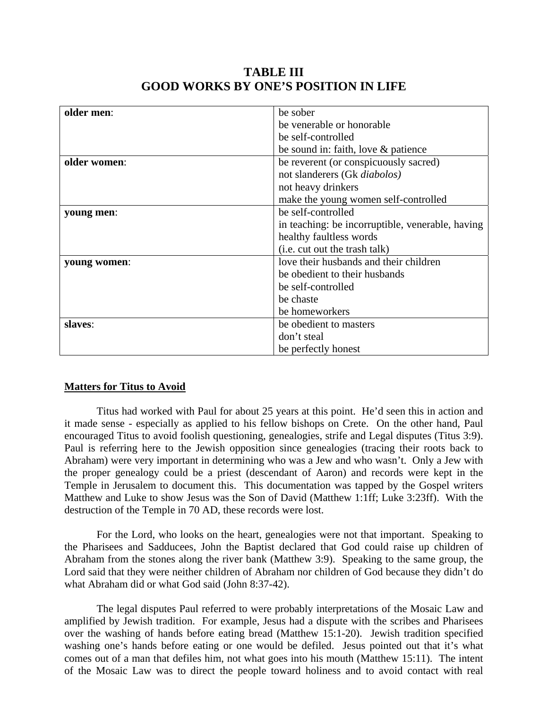| older men:   | be sober                                         |
|--------------|--------------------------------------------------|
|              | be venerable or honorable                        |
|              | be self-controlled                               |
|              | be sound in: faith, love & patience              |
| older women: | be reverent (or conspicuously sacred)            |
|              | not slanderers (Gk diabolos)                     |
|              | not heavy drinkers                               |
|              | make the young women self-controlled             |
| young men:   | be self-controlled                               |
|              | in teaching: be incorruptible, venerable, having |
|              | healthy faultless words                          |
|              | (i.e. cut out the trash talk)                    |
| young women: | love their husbands and their children           |
|              | be obedient to their husbands                    |
|              | be self-controlled                               |
|              | be chaste                                        |
|              | be homeworkers                                   |
| slaves:      | be obedient to masters                           |
|              | don't steal                                      |
|              | be perfectly honest                              |

## **TABLE III GOOD WORKS BY ONE'S POSITION IN LIFE**

### **Matters for Titus to Avoid**

 Titus had worked with Paul for about 25 years at this point. He'd seen this in action and it made sense - especially as applied to his fellow bishops on Crete. On the other hand, Paul encouraged Titus to avoid foolish questioning, genealogies, strife and Legal disputes (Titus 3:9). Paul is referring here to the Jewish opposition since genealogies (tracing their roots back to Abraham) were very important in determining who was a Jew and who wasn't. Only a Jew with the proper genealogy could be a priest (descendant of Aaron) and records were kept in the Temple in Jerusalem to document this. This documentation was tapped by the Gospel writers Matthew and Luke to show Jesus was the Son of David (Matthew 1:1ff; Luke 3:23ff). With the destruction of the Temple in 70 AD, these records were lost.

 For the Lord, who looks on the heart, genealogies were not that important. Speaking to the Pharisees and Sadducees, John the Baptist declared that God could raise up children of Abraham from the stones along the river bank (Matthew 3:9). Speaking to the same group, the Lord said that they were neither children of Abraham nor children of God because they didn't do what Abraham did or what God said (John 8:37-42).

 The legal disputes Paul referred to were probably interpretations of the Mosaic Law and amplified by Jewish tradition. For example, Jesus had a dispute with the scribes and Pharisees over the washing of hands before eating bread (Matthew 15:1-20). Jewish tradition specified washing one's hands before eating or one would be defiled. Jesus pointed out that it's what comes out of a man that defiles him, not what goes into his mouth (Matthew 15:11). The intent of the Mosaic Law was to direct the people toward holiness and to avoid contact with real